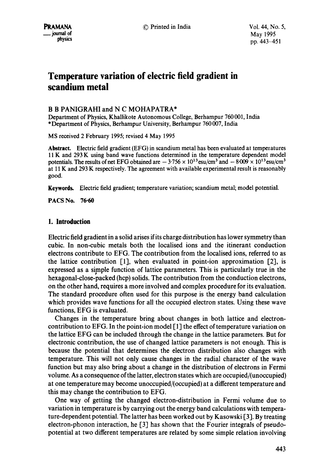# **Temperature variation of electric field gradient in scandium metal**

### B B PANIGRAHI and N C MOHAPATRA\*

Department of Physics, Khallikote Autonomous College, Berhampur 760 001, India \*Department of Physics, Berhampur University, Berhampur 760 007, India

MS received 2 February 1995; revised 4 May 1995

Abstract. Electric field gradient (EFG) in scandium metal has been evaluated at temperatures 11 K and 293 K using band wave functions determined in the temperature dependent model potentials. The results of net EFG obtained are  $-3.756 \times 10^{13}$  esu/cm<sup>3</sup> and  $-8.009 \times 10^{13}$  esu/cm<sup>3</sup> at 11 K and 293 K respectively. The agreement with available experimental result is reasonably good.

**Keywords.** Electric field gradient; temperature variation; scandium metal; model potential.

PACS No. 76.60

## **1. Introduction**

Electric field gradient in a solid arises if its charge distribution has lower symmetry than cubic. In non-cubic metals both the localised ions and the itinerant conduction electrons contribute to EFG. The contribution from the localised ions, referred to as the lattice contribution  $[1]$ , when evaluated in point-ion approximation  $[2]$ , is expressed as a simple function of lattice parameters. This is particularly true in the hexagonal-close-packed (hcp) solids. The contribution from the conduction electrons, on the other hand, requires a more involved and complex procedure for its evaluation. The standard procedure often used for this purpose is the energy band calculation which provides wave functions for all the occupied electron states. Using these wave functions, EFG is evaluated.

Changes in the temperature bring about changes in both lattice and electroncontribution to EFG. In the point-ion model  $[1]$  the effect of temperature variation on the lattice EFG can be included through the change in the lattice parameters. But for electronic contribution, the use of changed lattice parameters is not enough. This is because the potential that determines the electron distribution also changes with temperature. This will not only cause changes in the radial character of the wave function but may also bring about a change in the distribution of electrons in Fermi volume. As a consequence of the latter, electron states which are occupied/(unoccupied) at one temperature may become unoccupied/(occupied) at a different temperature and this may change the contribution to EFG.

One way of getting the changed electron-distribution in Fermi volume due to variation in temperature is by carrying out the energy band calculations with temperature-dependent potential. The latter has been worked out by Kasowski [3], By treating electron-phonon interaction, he [3] has shown that the Fourier integrals of pseudopotential at two different temperatures are related by some simple relation involving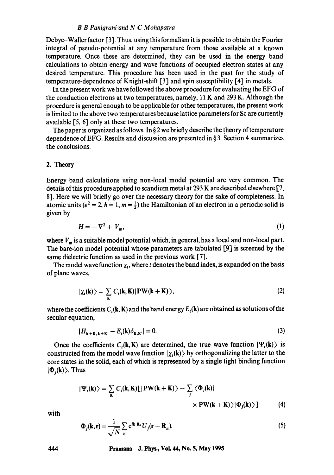#### *B B Panigrahi'and N C Mohapatra*

Debye-Waller factor [3]. Thus, using this formalism it is possible to obtain the Fourier integral of pseudo-potential at any temperature from those available at a known temperature. Once these are determined, they can be used in the energy band calculations to obtain energy and wave functions of occupied electron states at any desired temperature. This procedure has been used in the past for the study of temperature-dependence of Knight-shift [3] and spin susceptibility [4] in metals.

In the present work we have followed the above procedure for evaluating the EFG of the conduction electrons at two temperatures, namely, 11 K and 293 K. Although the procedure is general enough to be applicable for other temperatures, the present work is limited to the above two temperatures because lattice parameters for Sc are currently available  $\lceil 5, 6 \rceil$  only at these two temperatures.

The paper is organized as follows. In  $\S 2$  we briefly describe the theory of temperature dependence of EFG. Results and discussion are presented in § 3. Section 4 summarizes the conclusions.

#### 2. Theory

Energy band calculations using non-local model potential are very common. The details of this procedure applied to scandium metal at 293 K are described elsewhere [7, 8]. Here we will briefly go over the necessary theory for the sake of completeness. In atomic units ( $e^2 = 2$ ,  $h = 1$ ,  $m = \frac{1}{2}$ ) the Hamiltonian of an electron in a periodic solid is given by

$$
H = -\nabla^2 + V_{\rm m},\tag{1}
$$

where  $V_m$  is a suitable model potential which, in general, has a local and non-local part. The bare-ion model potential whose parameters are tabulated [9] is screened by the same dielectric function as used in the previous work [7].

The model wave function  $\chi_t$ , where t denotes the band index, is expanded on the basis of plane waves,

$$
|\chi_t(\mathbf{k})\rangle = \sum_{\mathbf{k}} C_t(\mathbf{k}, \mathbf{K}) |\mathbf{PW}(\mathbf{k} + \mathbf{K})\rangle, \tag{2}
$$

where the coefficients  $C_r(\mathbf{k}, \mathbf{K})$  and the band energy  $E_r(\mathbf{k})$  are obtained as solutions of the secular equation,

$$
|H_{\mathbf{k}+\mathbf{K},\mathbf{k}+\mathbf{K}'}-E_{t}(\mathbf{k})\delta_{\mathbf{K},\mathbf{K}'}|=0.
$$
\n(3)

Once the coefficients  $C_i(\mathbf{k}, \mathbf{K})$  are determined, the true wave function  $|\Psi_i(\mathbf{k})\rangle$  is constructed from the model wave function  $|\chi_t(\mathbf{k})\rangle$  by orthogonalizing the latter to the core states in the solid, each of which is represented by a single tight binding function  $|\Phi_{i}(\mathbf{k})\rangle$ . Thus

$$
|\Psi_{t}(\mathbf{k})\rangle = \sum_{\mathbf{k}} C_{t}(\mathbf{k}, \mathbf{K})[|\mathbf{PW}(\mathbf{k} + \mathbf{K})\rangle - \sum_{j} \langle \Phi_{j}(\mathbf{k})| \times \mathbf{PW}(\mathbf{k} + \mathbf{K})\rangle |\Phi_{j}(\mathbf{k})\rangle]
$$
(4)

with

$$
\Phi_j(\mathbf{k}, \mathbf{r}) = \frac{1}{\sqrt{N}} \sum_{\mu} e^{i\mathbf{k} \cdot \mathbf{R}_{\mu}} U_j(\mathbf{r} - \mathbf{R}_{\mu}).
$$
\n(5)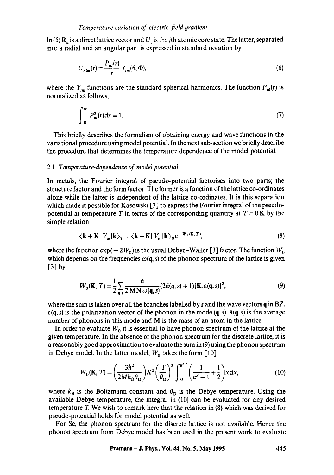In (5)  $\mathbf{R}_n$  is a direct lattice vector and U<sub>i</sub> is the jth atomic core state. The latter, separated into a radial and an angular part is expressed in standard notation by

$$
U_{nlm}(\mathbf{r}) = \frac{P_{nl}(r)}{r} Y_{lm}(\theta, \Phi),
$$
\n(6)

where the  $Y_{lm}$  functions are the standard spherical harmonics. The function  $P_{nl}(r)$  is normalized as follows,

$$
\int_{0}^{\infty} P_{nl}^{2}(r) dr = 1.
$$
 (7)

This briefly describes the formalism of obtaining energy and wave functions in the variational procedure using model potential. In the next sub-section we briefly describe the procedure that determines the temperature dependence of the model potential.

#### *2.1 Temperature-dependence of model potential*

In metals, the Fourier integral of pseudo-potential factorises into two parts; the structure factor and the form factor. The former is a function of the lattice co-ordinates alone while the latter is independent of the lattice co-ordinates. It is this separation which made it possible for Kasowski  $\lceil 3 \rceil$  to express the Fourier integral of the pseudopotential at temperature T in terms of the corresponding quantity at  $T = 0$ K by the simple relation

$$
\langle \mathbf{k} + \mathbf{K} | V_{\mathbf{m}} | \mathbf{k} \rangle_T = \langle \mathbf{k} + \mathbf{K} | V_{\mathbf{m}} | \mathbf{k} \rangle_0 e^{-W_0(\mathbf{K}, T)}, \tag{8}
$$

where the function  $\exp(-2W_0)$  is the usual Debye-Waller [3] factor. The function  $W_0$ which depends on the frequencies  $\omega(\mathbf{q}, s)$  of the phonon spectrum of the lattice is given  $\lceil 3 \rceil$  by

$$
W_0(\mathbf{K}, T) = \frac{1}{2} \sum_{\mathbf{q},s} \frac{\hbar}{2 \, \mathbf{M} \mathbf{N} \, \omega(\mathbf{q}, s)} (2\bar{n}(q, s) + 1) |\mathbf{K}, \varepsilon(\mathbf{q}, s)|^2,
$$
\n(9)

where the sum is taken over all the branches labelled by s and the wave vectors q in BZ.  $\epsilon(\mathbf{q}, s)$  is the polarization vector of the phonon in the mode  $(\mathbf{q}, s)$ ,  $\bar{n}(\mathbf{q}, s)$  is the average number of phonons in this mode and M is the mass of an atom in the lattice.

In order to evaluate  $W_0$  it is essential to have phonon spectrum of the lattice at the given temperature. In the absence of the phonon spectrum for the discrete lattice, it is a reasonably good approximation to evaluate the sum in (9) using the phonon spectrum in Debye model. In the latter model,  $W_0$  takes the form [10]

$$
W_0(\mathbf{K}, T) = \left(\frac{3\hbar^2}{2Mk_B\theta_D}\right) K^2 \left(\frac{T}{\theta_D}\right)^2 \int_0^{\theta^{D/T}} \left(\frac{1}{e^x - 1} + \frac{1}{2}\right) x \, dx,\tag{10}
$$

where  $k_B$  is the Boltzmann constant and  $\theta_D$  is the Debye temperature. Using the available Debye temperature, the integral in (10) can be evaluated for any desired temperature T. We wish to remark here that the relation in (8) which was derived for pseudo-potential holds for model potential as well.

For Sc, the phonon spectrum for the discrete lattice is not available. Hence the phonon spectrum from Debye model has been used in the present work to evaluate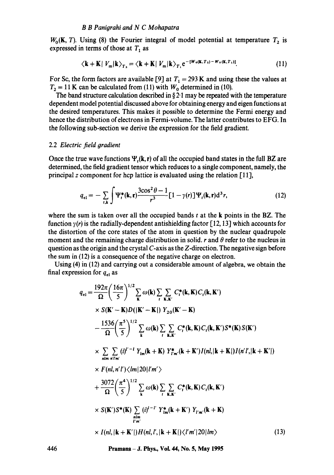#### *B B Paniorahi and N C Mohapatra*

 $W_0(K, T)$ . Using (8) the Fourier integral of model potential at temperature  $T_2$  is expressed in terms of those at  $T_1$  as

$$
\langle \mathbf{k} + \mathbf{K} | V_{\mathbf{m}} | \mathbf{k} \rangle_{T_2} = \langle \mathbf{k} + \mathbf{K} | V_{\mathbf{m}} | \mathbf{k} \rangle_{T_1} e^{-\left[ W_{0}(\mathbf{k}, T_2) - W_{0}(\mathbf{k}, T_1) \right]}.
$$
 (11)

For Sc, the form factors are available [9] at  $T_1 = 293$  K and using these the values at  $T_2 = 11$  K can be calculated from (11) with  $W_0$  determined in (10).

The band structure calculation described in  $\S 2.1$  may be repeated with the temperature dependent model potential discussed above for obtaining energy and eigen functions at the desired temperatures. This makes it possible to determine the Fermi energy and hence the distribution of electrons in Fermi-volume. The latter contributes to EFG. In the following sub-section we derive the expression for the field gradient.

#### 2.2 *Electric field gradient*

Once the true wave functions  $\Psi_r(k, r)$  of all the occupied band states in the full BZ are determined, the field gradient tensor which reduces to a single component, namely, the principal z component for hcp lattice is evaluated using the relation  $[11]$ ,

$$
q_{el} = -\sum_{t,\mathbf{k}} \int \Psi_t^*(\mathbf{k}, \mathbf{r}) \frac{3\cos^2\theta - 1}{r^3} [1 - \gamma(r)] \Psi_t(\mathbf{k}, \mathbf{r}) d^3 r,\tag{12}
$$

where the sum is taken over all the occupied bands  $t$  at the k points in the BZ. The function  $\gamma(r)$  is the radially-dependent antishielding factor [12, 13] which accounts for the distortion of the core states of the atom in question by the nuclear quadrupole moment and the remaining charge distribution in solid, r and  $\theta$  refer to the nucleus in question as the origin and the crystal  $C$ -axis as the  $Z$ -direction. The negative sign before the sum in (12) is a consequence of the negative charge on electron.

Using (4) in (12) and carrying out a considerable amount of algebra, we obtain the final expression for  $q_{el}$  as

$$
q_{el} = \frac{192\pi}{\Omega} \left( \frac{16\pi}{5} \right)^{1/2} \sum_{\mathbf{k}} \omega(\mathbf{k}) \sum_{i} \sum_{\mathbf{k},\mathbf{k}'} C_{i}^{*}(\mathbf{k},\mathbf{K}) C_{i}(\mathbf{k},\mathbf{K}')
$$
  
\n
$$
\times S(\mathbf{K}' - \mathbf{K}) D(|\mathbf{K}' - \mathbf{K}|) Y_{20}(\mathbf{K}' - \mathbf{K})
$$
  
\n
$$
- \frac{1536}{\Omega} \left( \frac{\pi^{5}}{5} \right)^{1/2} \sum_{\mathbf{k}} \omega(\mathbf{k}) \sum_{i} \sum_{\mathbf{k},\mathbf{k}'} C_{i}^{*}(\mathbf{k},\mathbf{K}) C_{i}(\mathbf{k},\mathbf{K}') S^{*}(\mathbf{K}) S(\mathbf{K}')
$$
  
\n
$$
\times \sum_{nlm} \sum_{n'l'm'} (i)^{l'-l} Y_{lm}(\mathbf{k} + \mathbf{K}) Y_{l'm}^{*}(\mathbf{k} + \mathbf{K}') I(nl,|\mathbf{k} + \mathbf{K}|) I(n'l',|\mathbf{k} + \mathbf{K}'|)
$$
  
\n
$$
\times F(nl, n'l') \langle lm|20|l'm'\rangle
$$
  
\n
$$
+ \frac{3072}{\Omega} \left( \frac{\pi^{4}}{5} \right)^{1/2} \sum_{\mathbf{k}} \omega(\mathbf{k}) \sum_{i} \sum_{\mathbf{k},\mathbf{k}'} C_{i}^{*}(\mathbf{k},\mathbf{K}) C_{i}(\mathbf{k},\mathbf{K}')
$$
  
\n
$$
\times S(\mathbf{K}') S^{*}(\mathbf{K}) \sum_{\substack{nlm \\ l'm'}} (i)^{l-l'} Y^{*}_{lm}(\mathbf{k} + \mathbf{K}') Y_{l'm'}(\mathbf{k} + \mathbf{K})
$$
  
\n
$$
\times I(nl,|\mathbf{k} + \mathbf{K}'|) H(nl,l',|\mathbf{k} + \mathbf{K}|) \langle l'm'|20|lm\rangle
$$
 (13)

**446 Pramana - J. Phys., Vol. 44, No. 5, May 1995**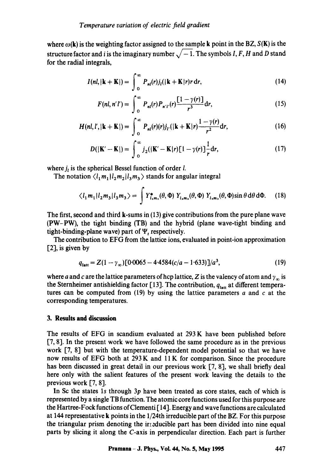where  $\omega(\mathbf{k})$  is the weighting factor assigned to the sample k point in the BZ,  $S(\mathbf{k})$  is the structure factor and i is the imaginary number  $\sqrt{-1}$ . The symbols I, F, H and D stand for the radial integrals,

$$
I(nl,|\mathbf{k}+\mathbf{K}|)=\int_{0}^{\infty}P_{nl}(r)j_{l}(|\mathbf{k}+\mathbf{K}|r)r\,\mathrm{d}r,
$$
\n(14)

$$
F(nl, n'l') = \int_0^\infty P_{nl}(r) P_{n'l'}(r) \frac{[1 - \gamma(r)]}{r^3} dr,
$$
\n(15)

$$
H(nl, l', |\mathbf{k} + \mathbf{K}|) = \int_0^\infty P_{nl}(r)(r) j_{l'}(|\mathbf{k} + \mathbf{K}|r) \frac{1 - \gamma(r)}{r^2} dr,
$$
 (16)

$$
D(|\mathbf{K}' - \mathbf{K}|) = \int_0^\infty j_2(|\mathbf{K}' - \mathbf{K}|r)[1 - \gamma(r)] \frac{1}{r} dr,
$$
 (17)

where  $j_i$  is the spherical Bessel function of order *l*.

The notation  $\langle l_1 m_1 | l_2 m_2 | l_3 m_3 \rangle$  stands for angular integral

$$
\langle l_1 m_1 | l_2 m_3 | l_3 m_3 \rangle = \int Y_{l_1 m_1}^*(\theta, \Phi) Y_{l_2 m_2}(\theta, \Phi) Y_{l_3 m_3}(\theta, \Phi) \sin \theta \, d\theta \, d\Phi. \tag{18}
$$

The first, second and third  $k$ -sums in (13) give contributions from the pure plane wave (PW-PW), the tight binding (TB) and the hybrid (plane wave-tight binding and tight-binding-plane wave) part of  $\Psi$ , respectively.

The contribution to EFG from the lattice ions, evaluated in point-ion approximation [2], is given by

$$
q_{\text{latt}} = Z(1 - \gamma_{\infty}) [0.0065 - 4.4584(c/a - 1.633)]/a^3,
$$
 (19)

where a and c are the lattice parameters of hcp lattice, Z is the valency of atom and  $\gamma_{\infty}$  is the Sternheimer antishielding factor [13]. The contribution,  $q_{\text{lat}}$  at different temperatures can be computed from  $(19)$  by using the lattice parameters a and c at the corresponding temperatures.

## **3. Results and discussion**

The results of EFG in scandium evaluated at 293 K have been published before [7, 8]. In the present work we have followed the same procedure as in the previous work [7, 8] but with the temperature-dependent model potential so that we have now results of EFG both at 293 K and 11 K for comparison. Since the procedure has been discussed in great detail in our previous work [7, 8], we shall briefly deal here only with the salient features of the present work leaving the details to the previous work [7, 8].

In Sc the states ls through 3p have been treated as core states, each of which is represented by a single TB function. The atomic core functions used for this purpose are the Hartree-Fock functions of Clementi [ 141. Energy and wave functions are calculated at 144 representative k points in the 1/24th irreducible part of the BZ. For this purpose the triangular prism denoting the irreducible part has been divided into nine equal parts by slicing it along the C-axis in perpendicular direction. Each part is further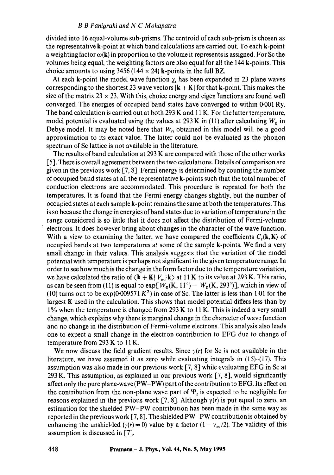#### *B B Panigrahi and N C Mohapatra*

divided into 16 equal-volume sub-prisms. The centroid of each sub-prism is chosen as the representative k-point at which band calcu!ations are carried out. To each k-point a weighting factor  $\omega(\mathbf{k})$  in proportion to the volume it represents is assigned. For Sc the volumes being equal, the weighting factors are also equal for all the 144 k-points. This choice amounts to using 3456 (144  $\times$  24) k-points in the full BZ.

At each k-point the model wave function  $\chi_t$  has been expanded in 23 plane waves corresponding to the shortest 23 wave vectors  $|\mathbf{k} + \mathbf{K}|$  for that **k**-point. This makes the size of the matrix  $23 \times 23$ . With this, choice energy and eigen functions are found well converged. The energies of occupied band states have converged to within 0.001 Ry. The band calculation is carried out at both 293 K and 11 K. For the latter temperature, model potential is evaluated using the values at 293 K in (11) after calculating  $W_0$  in Debye model. It may be noted here that  $W_0$  obtained in this model will be a good approximation to its exact value. The latter could not be evaluated as the phonon spectrum of Sc lattice is not available in the literature.

The results of band calculation at 293 K are compared with those of the other works [5]. There is overall agreement between the two calculations. Details of comparison are given in the previous work [7, 8]. Fermi energy is determined by counting the number of occupied band states at all the representative k-points such that the total number of conduction electrons are accommodated. This procedure is repeated for both the temperatures. It is found that the Fermi energy changes slightly, but the number of occupied states at each sample k-point remains the same at both the temperatures. This is so because the change in energies of band states due to variation of temperature in the range considered is so little that it does not affect the distribution of Fermi-volume electrons. It does however bring about changes in the character of the wave function. With a view to examining the latter, we have compared the coefficients  $C_r(k, K)$  of occupied bands at two temperatures at some of the sample k-points. We find a very small change in their values. This analysis suggests that the variation of the model potential with temperature is perhaps not significant in the given temperature range. In order to see how much is the change in the form factor due to the temperature variation, we have calculated the ratio of  $\langle \mathbf{k} + \mathbf{K} | V_m | \mathbf{k} \rangle$  at 11 K to its value at 293 K. This ratio, as can be seen from (11) is equal to  $exp[W_0(K, 11^\circ) - W_0(K, 293^\circ)]$ , which in view of (10) turns out to be  $\exp(0.009571 \, K^2)$  in case of Sc. The latter is less than 1.01 for the largest K used in the calculation. This shows that model potential differs less than by 1% when the temperature is changed from 293 K to 11 K. This is indeed a very small change, which explains why there is marginal change in the character of wave function and no change in the distribution of Fermi-volume electrons. This analysis also leads one to expect a small change in the electron contribution to EFG due to change of temperature from 293 K to 11 K.

We now discuss the field gradient results. Since  $\gamma(r)$  for Sc is not available in the literature, we have assumed it as zero while evaluating integrals in  $(15)$ - $(17)$ . This assumption was also made in our previous work [7, 8] while evaluating EFG in Sc at 293 K. This assumption, as explained in our previous work [7, 8], would significantly affect only the pure plane-wave (PW-PW) part of the contribution to EFG. Its effect on the contribution from the non-plane wave part of  $\Psi$ , is expected to be negligible for reasons explained in the previous work [7, 8]. Although  $\gamma(r)$  is put equal to zero, an estimation for the shielded PW-PW contribution has been made in the same way as reported in the previous work [7, 8]. The shielded PW-PW contribution is obtained by enhancing the unshielded ( $\gamma(r) = 0$ ) value by a factor (1 -  $\gamma_{\infty}/2$ ). The validity of this assumption is discussed in [7].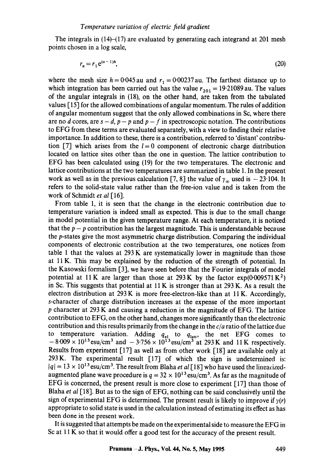The integrals in (14)–(17) are evaluated by generating each integrand at 201 mesh points chosen in a log scale,

$$
r_n = r_1 e^{(n-1)h},\tag{20}
$$

where the mesh size  $h = 0.045$  au and  $r_1 = 0.00237$  au. The farthest distance up to which integration has been carried out has the value  $r_{201} = 19.21089$  au. The values of the angular integrals in (18), on the other hand, are taken from the tabulated values [ 15] for the allowed combinations of angular momentum. The rules of addition of angular momentum suggest that the only allowed combinations in Sc, where there are no d cores, are  $s - d$ ,  $p - p$  and  $p - f$  in spectroscopic notation. The contributions to EFG from these terms are evaluated separately, with a view to finding their relative importance. In addition to these, there is a contribution, referred to 'distant' contribution [7] which arises from the  $l=0$  component of electronic charge distribution located on lattice sites other than the one in question. The lattice contribution to EFG has been calculated using (19) for the two temperatures. The electronic and lattice contributions at the two temperatures are summarized in table 1. In the present work as well as in the previous calculation [7, 8] the value of  $\gamma_{\infty}$  used is -23.104. It refers to the solid-state value rather than the free-ion value and is taken from the work of Schmidt *et al* [16].

From table 1, it is seen that the change in the electronic contribution due to temperature variation is indeed small as expected. This is due to the small change in model potential in the given temperature range. At each temperature, it is noticed that the  $p - p$  contribution has the largest magnitude. This is understandable because the p-states give the most asymmetric charge distribution. Comparing the individual components of electronic contribution at the two temperatures, one notices from table 1 that the values at  $293 K$  are systematically lower in magnitude than those at 11 K. This may be explained by the reduction of the strength of potential. In the Kasowski formalism [3], we have seen before that the Fourier integrals of model potential at 11 K are larger than those at 293 K by the factor  $exp(0.009571 \text{ K}^2)$ in Sc. This suggests that potential at  $11 K$  is stronger than at 293 K. As a result the electron distribution at 293 K is more free-electron-like than at 11 K. Accordingly, s-character of charge distribution increases at the expense of the more important p character at 293 K and causing a reduction in the magnitude of EFG. The lattice contribution to EFG, on the other hand, changes more significantly than the electronic contribution and this results primarily from the change in the *c/a* ratio of the lattice due to temperature variation. Adding  $q_{el}$  to  $q_{latt}$ , the net EFG comes to  $-8.009 \times 10^{13}$  esu/cm<sup>3</sup> and  $-3.756 \times 10^{13}$  esu/cm<sup>3</sup> at 293 K and 11 K respectively. Results from experiment [17] as well as from other work [18] are available only at 293K. The experimental result [17] of which the sign is undetermined is:  $|q| = 13 \times 10^{13}$  esu/cm<sup>3</sup>. The result from Blaha *et al* [18] who have used the linearizedaugmented plane wave procedure is  $q = 32 \times 10^{13}$  esu/cm<sup>3</sup>. As far as the magnitude of EFG is concerned, the present result is more close to experiment [17] than those of Blaha *et al* [18]. But as to the sign of EFG, nothing can be said conclusively until the sign of experimental EFG is determined. The present result is likely to improve if  $\gamma(r)$ appropriate to solid state is used in the calculation instead of estimating its effect as has been done in the present work.

It is suggested that attempts be made on the experimental side to measure the EFG in Sc at 11 K so that it would offer a good test for the accuracy of the present result.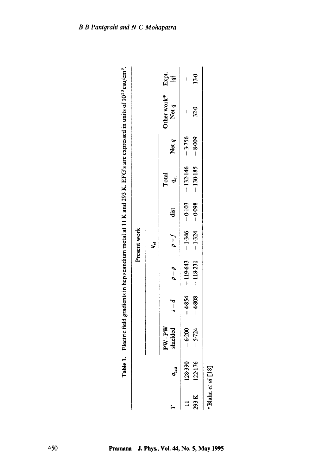| Table            |                     |          |                    |              |          |                     |          | 1. Electric field gradients in hcp scandium metal at 11 K and 293 K. EFG's are expressed in units of 10 <sup>13</sup> esu/cm <sup>3</sup> . |        |
|------------------|---------------------|----------|--------------------|--------------|----------|---------------------|----------|---------------------------------------------------------------------------------------------------------------------------------------------|--------|
|                  |                     |          |                    | Present work |          |                     |          |                                                                                                                                             |        |
|                  |                     |          |                    | $q_{\rm el}$ |          |                     |          |                                                                                                                                             |        |
|                  | $PW-PW$<br>shielded | $s-d$    | $p - q$ $q - q$    |              | dist     | Total<br>$q_{el}$   | Net q    | Other work* Expt.<br>Net $q$  q <br>Net $q$                                                                                                 |        |
| $q_{\rm lat}$    |                     |          |                    |              |          |                     |          |                                                                                                                                             |        |
| 128-390          | $-6.200$            |          | $-4854$ $-119.643$ |              |          | $-346$ $-0.132.146$ | $-3.756$ |                                                                                                                                             |        |
| 293 K 122:176    | $-5.724$            | $-4.808$ | $-118-231$         | $-1.324$     | $-0.098$ | $-130.185$          | $-8.009$ | $32 - 0$                                                                                                                                    | $13-0$ |
| Blaha et al [18] |                     |          |                    |              |          |                     |          |                                                                                                                                             |        |
|                  |                     |          |                    |              |          |                     |          |                                                                                                                                             |        |

 $\bar{\psi}$